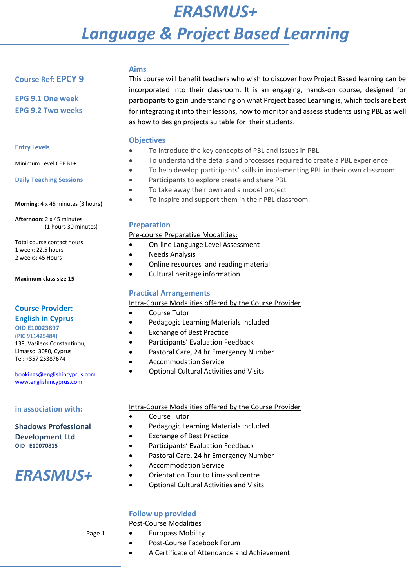# *ERASMUS+ Language & Project Based Learning*

#### **Course Ref: EPCY 9**

**EPG 9.1 One week EPG 9.2 Two weeks**

#### **Entry Levels**

Minimum Level CEF B1+

**Daily Teaching Sessions**

**Morning**: 4 x 45 minutes (3 hours)

**Afternoon**: 2 x 45 minutes (1 hours 30 minutes)

Total course contact hours: 1 week: 22.5 hours 2 weeks: 45 Hours

**Maximum class size 15**

#### **Course Provider: English in Cyprus**

**OID E10023897 (PIC 911425484)**  138, Vasileos Constantinou, Limassol 3080, Cyprus Tel: +357 25387674

[bookings@englishincyprus.com](mailto:bookings@englishincyprus.com)  [www.englishincyprus.com](http://www.englishincyprus.com/) 

**in association with:**

#### **Shadows Professional Development Ltd OID E10070815**

## *ERASMUS+*

#### Page 1

#### **Aims**

This course will benefit teachers who wish to discover how Project Based learning can be incorporated into their classroom. It is an engaging, hands-on course, designed for participants to gain understanding on what Project based Learning is, which tools are best for integrating it into their lessons, how to monitor and assess students using PBL as well as how to design projects suitable for their students.

#### **Objectives**

- To introduce the key concepts of PBL and issues in PBL
- To understand the details and processes required to create a PBL experience
- To help develop participants' skills in implementing PBL in their own classroom
- Participants to explore create and share PBL
- To take away their own and a model project
- To inspire and support them in their PBL classroom.

#### **Preparation**

Pre-course Preparative Modalities:

- On-line Language Level Assessment
- Needs Analysis
- Online resources and reading material
- Cultural heritage information

#### **Practical Arrangements**

Intra-Course Modalities offered by the Course Provider

- Course Tutor
- Pedagogic Learning Materials Included
- Exchange of Best Practice
- Participants' Evaluation Feedback
- Pastoral Care, 24 hr Emergency Number
- Accommodation Service
- Optional Cultural Activities and Visits

#### Intra-Course Modalities offered by the Course Provider

- Course Tutor
- Pedagogic Learning Materials Included
- Exchange of Best Practice
- Participants' Evaluation Feedback
- Pastoral Care, 24 hr Emergency Number
- Accommodation Service
- Orientation Tour to Limassol centre
- Optional Cultural Activities and Visits

#### **Follow up provided**

Post-Course Modalities

- Europass Mobility
- Post-Course Facebook Forum
- A Certificate of Attendance and Achievement